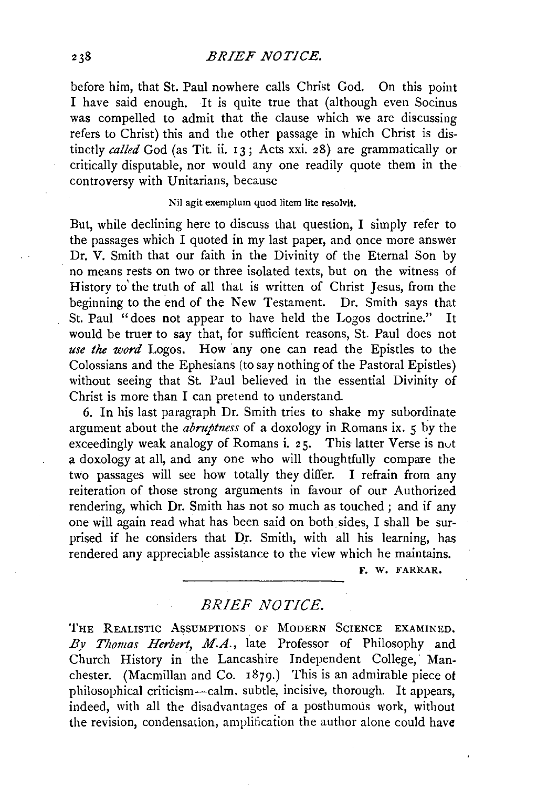before him, that St. Paul nowhere calls Christ God. On this point I have said enough. It is quite true that (although even Socinus was compelled to admit that the clause which we are discussing refers to Christ) this and the other passage in which Christ is distinctly *called* God (as Tit. ii. 13; Acts xxi. 28) are grammatically or critically disputable, nor would any one readily quote them in the controversy with Unitarians, because

## Nil agit exemplum quod litem lite resolvit.

But, while declining here to discuss that question, I simply refer to the passages which I quoted in my last paper, and once more answer Dr. V. Smith that our faith in the Divinity of the Eternal Son by no means rests on two or three isolated texts, but on the witness of History to' the truth of all that is written of Christ Jesus, from the beginning to the end of the New Testament. Dr. Smith says that St. Paul "does not appear to have held the Logos doctrine." It would be truer to say that, for sufficient reasons, St. Paul does not *use the word* Logos. How any one can read the Epistles to the Colossians and the Ephesians (to say nothing of the Pastoral Epistles) without seeing that St. Paul believed in the essential Divinity of Christ is more than I can pretend to understand.

6. In his last paragraph Dr. Smith tries to shake my subordinate argument about the *abruptness* of a doxology in Romans ix. 5 by the exceedingly weak analogy of Romans i. 25. This latter Verse is nut a doxology at all, and any one who will thoughtfully compare the two passages will see how totally they differ. I refrain from any reiteration of those strong arguments in favour of our Authorized rendering, which Dr. Smith has not so much as touched; and if any one will again read what has been said on both sides, I shall be surprised if he considers that Dr. Smith, with all his learning, has rendered any appreciable assistance to the view which he maintains.

F. W. FARRAR.

## *BRIEF NOTICE.*

THE REALISTIC ASSUMPTIONS OF MODERN SCIENCE EXAMINED. By Thomas Herbert, M.A., late Professor of Philosophy and Church History in the Lancashire Independent College, Manchester. (Macmillan and Co. 1879.) This is an admirable piece of philosophical criticism-calm, subtle, incisive, thorough. It appears, indeed, with all the disadvantages of a posthumous work, without the revision, condensation, amplification the author alone could have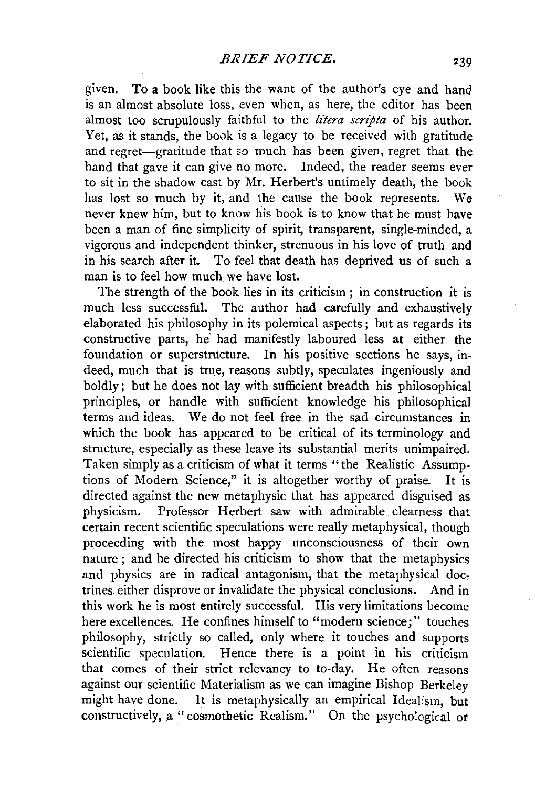given. To a book like this the want of the author's eye and hand is an almost absolute loss, even when, as here, the editor has been almost too scrupulously faithful to the *lt'tera scripta* of his author. Yet, as it stands, the book is a legacy to be received with gratitude and regret-gratitude that so much has been given, regret that the hand that gave it can give no more. Indeed, the reader seems ever to sit in the shadow cast by Mr. Herbert's untimely death, the book has lost so much by it, and the cause the book represents. We never knew him, but to know his book is to know that he must have been a man of fine simplicity of spirit, transparent, single-minded, a vigorous and independent thinker, strenuous in his love of truth and in his search after it. To feel that death has deprived us of such a man is to feel how much we have lost.

The strength of the book lies in its criticism ; in construction it is much less successful. The author had carefully and exhaustively elaborated his philosophy in its polemical aspects; but as regards its constructive parts, he had manifestly laboured less at either the foundation or superstructure. In his positive sections he says, indeed, much that is true, reasons subtly, speculates ingeniously and boldly; but he does not lay with sufficient breadth his philosophical principles, or handle with sufficient knowledge his philosophical terms and ideas. We do not feel free in the sad circumstances in which the book has appeared to be critical of its terminology and structure, especially as these leave its substantial merits unimpaired. Taken simply as a criticism of what it terms ''the Realistic Assumptions of Modern Science," it is altogether worthy of praise. It is directed against the new metaphysic that has appeared disguised as physicism. Professor Herbert saw with admirable clearness that certain recent scientific speculations were really metaphysical, though proceeding with the most happy unconsciousness of their own nature ; and he directed his criticism to show that the metaphysics and physics are in radical antagonism, that the metaphysical doctrines either disprove or invalidate the physical conclusions. And in this work he is most entirely successful. His very limitations become here excellences. He confines himself to "modern science;" touches philosophy, strictly so called, only where it touches and supports scientific speculation. Hence there is a point in his criticism that comes of their strict relevancy to to-day. He often reasons against our scientific Materialism as we can imagine Bishop Berkeley might have done. It is metaphysically an empirical Idealism, but constructively, a "cosmothetic Realism." On the psychological or